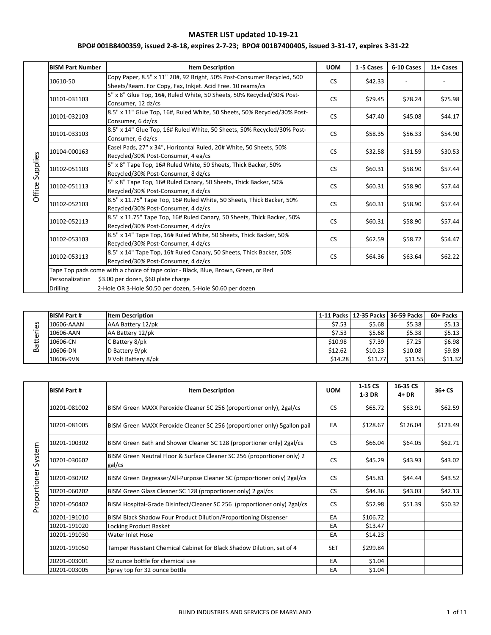|          | <b>BISM Part Number</b> | <b>Item Description</b>                                                                                                              | <b>UOM</b> | 1-5 Cases | 6-10 Cases | 11+ Cases |
|----------|-------------------------|--------------------------------------------------------------------------------------------------------------------------------------|------------|-----------|------------|-----------|
|          | 10610-50                | Copy Paper, 8.5" x 11" 20#, 92 Bright, 50% Post-Consumer Recycled, 500<br>Sheets/Ream. For Copy, Fax, Inkjet. Acid Free. 10 reams/cs | <b>CS</b>  | \$42.33   |            |           |
|          | 10101-031103            | 5" x 8" Glue Top, 16#, Ruled White, 50 Sheets, 50% Recycled/30% Post-<br>Consumer, 12 dz/cs                                          | <b>CS</b>  | \$79.45   | \$78.24    | \$75.98   |
|          | 10101-032103            | 8.5" x 11" Glue Top, 16#, Ruled White, 50 Sheets, 50% Recycled/30% Post-<br>Consumer, 6 dz/cs                                        | <b>CS</b>  | \$47.40   | \$45.08    | \$44.17   |
|          | 10101-033103            | 8.5" x 14" Glue Top, 16# Ruled White, 50 Sheets, 50% Recycled/30% Post-<br>Consumer, 6 dz/cs                                         | <b>CS</b>  | \$58.35   | \$56.33    | \$54.90   |
|          | 10104-000163            | Easel Pads, 27" x 34", Horizontal Ruled, 20# White, 50 Sheets, 50%<br>Recycled/30% Post-Consumer, 4 ea/cs                            | <b>CS</b>  | \$32.58   | \$31.59    | \$30.53   |
| Supplies | 10102-051103            | 5" x 8" Tape Top, 16# Ruled White, 50 Sheets, Thick Backer, 50%<br>Recycled/30% Post-Consumer, 8 dz/cs                               | <b>CS</b>  | \$60.31   | \$58.90    | \$57.44   |
| Office:  | 10102-051113            | 5" x 8" Tape Top, 16# Ruled Canary, 50 Sheets, Thick Backer, 50%<br>Recycled/30% Post-Consumer, 8 dz/cs                              | <b>CS</b>  | \$60.31   | \$58.90    | \$57.44   |
|          | 10102-052103            | 8.5" x 11.75" Tape Top, 16# Ruled White, 50 Sheets, Thick Backer, 50%<br>Recycled/30% Post-Consumer, 4 dz/cs                         | <b>CS</b>  | \$60.31   | \$58.90    | \$57.44   |
|          | 10102-052113            | 8.5" x 11.75" Tape Top, 16# Ruled Canary, 50 Sheets, Thick Backer, 50%<br>Recycled/30% Post-Consumer, 4 dz/cs                        | <b>CS</b>  | \$60.31   | \$58.90    | \$57.44   |
|          | 10102-053103            | 8.5" x 14" Tape Top, 16# Ruled White, 50 Sheets, Thick Backer, 50%<br>Recycled/30% Post-Consumer, 4 dz/cs                            | <b>CS</b>  | \$62.59   | \$58.72    | \$54.47   |
|          | 10102-053113            | 8.5" x 14" Tape Top, 16# Ruled Canary, 50 Sheets, Thick Backer, 50%<br>Recycled/30% Post-Consumer, 4 dz/cs                           | <b>CS</b>  | \$64.36   | \$63.64    | \$62.22   |
|          |                         | Tape Top pads come with a choice of tape color - Black, Blue, Brown, Green, or Red                                                   |            |           |            |           |
|          | Personalization         | \$3.00 per dozen, \$60 plate charge                                                                                                  |            |           |            |           |
|          | <b>Drilling</b>         | 2-Hole OR 3-Hole \$0.50 per dozen, 5-Hole \$0.60 per dozen                                                                           |            |           |            |           |

| $\mathbf{C}$<br>ω | <b>BISM Part #</b> | <b>Item Description</b> |         |         | 1-11 Packs   12-35 Packs   36-59 Packs | 60+ Packs |
|-------------------|--------------------|-------------------------|---------|---------|----------------------------------------|-----------|
|                   | 10606-AAAN         | AAA Battery 12/pk       | \$7.53  | \$5.68  | \$5.38                                 | \$5.13    |
|                   | 10606-AAN          | AA Battery 12/pk        | \$7.53  | \$5.68  | \$5.38                                 | \$5.13    |
|                   | 10606-CN           | C Battery 8/pk          | \$10.98 | \$7.39  | \$7.25                                 | \$6.98    |
| ω<br>≃            | 10606-DN           | D Battery 9/pk          | \$12.62 | \$10.23 | \$10.08                                | \$9.89    |
|                   | 10606-9VN          | 9 Volt Battery 8/pk     | \$14.28 | \$11.77 | \$11.55                                | \$11.32   |

|              | <b>BISM Part #</b> | <b>Item Description</b>                                                           | <b>UOM</b> | 1-15 CS<br>$1-3$ DR | 16-35 CS<br>$4+DR$ | $36+CS$  |
|--------------|--------------------|-----------------------------------------------------------------------------------|------------|---------------------|--------------------|----------|
|              | 10201-081002       | BISM Green MAXX Peroxide Cleaner SC 256 (proportioner only), 2gal/cs              | <b>CS</b>  | \$65.72             | \$63.91            | \$62.59  |
|              | 10201-081005       | BISM Green MAXX Peroxide Cleaner SC 256 (proportioner only) 5 gallon pail         | EA         | \$128.67            | \$126.04           | \$123.49 |
|              | 10201-100302       | BISM Green Bath and Shower Cleaner SC 128 (proportioner only) 2gal/cs             | <b>CS</b>  | \$66.04             | \$64.05            | \$62.71  |
| System       | 10201-030602       | BISM Green Neutral Floor & Surface Cleaner SC 256 (proportioner only) 2<br>gal/cs | <b>CS</b>  | \$45.29             | \$43.93            | \$43.02  |
|              | 10201-030702       | BISM Green Degreaser/All-Purpose Cleaner SC (proportioner only) 2gal/cs           | <b>CS</b>  | \$45.81             | \$44.44            | \$43.52  |
|              | 10201-060202       | BISM Green Glass Cleaner SC 128 (proportioner only) 2 gal/cs                      | <b>CS</b>  | \$44.36             | \$43.03            | \$42.13  |
| Proportioner | 10201-050402       | BISM Hospital-Grade Disinfect/Cleaner SC 256 (proportioner only) 2gal/cs          | <b>CS</b>  | \$52.98             | \$51.39            | \$50.32  |
|              | 10201-191010       | BISM Black Shadow Four Product Dilution/Proportioning Dispenser                   | EA         | \$106.72            |                    |          |
|              | 10201-191020       | Locking Product Basket                                                            | EA         | \$13.47             |                    |          |
|              | 10201-191030       | <b>Water Inlet Hose</b>                                                           | EA         | \$14.23             |                    |          |
|              | 10201-191050       | Tamper Resistant Chemical Cabinet for Black Shadow Dilution, set of 4             | <b>SET</b> | \$299.84            |                    |          |
|              | 20201-003001       | 32 ounce bottle for chemical use                                                  | EA         | \$1.04              |                    |          |
|              | 20201-003005       | Spray top for 32 ounce bottle                                                     | EA         | \$1.04              |                    |          |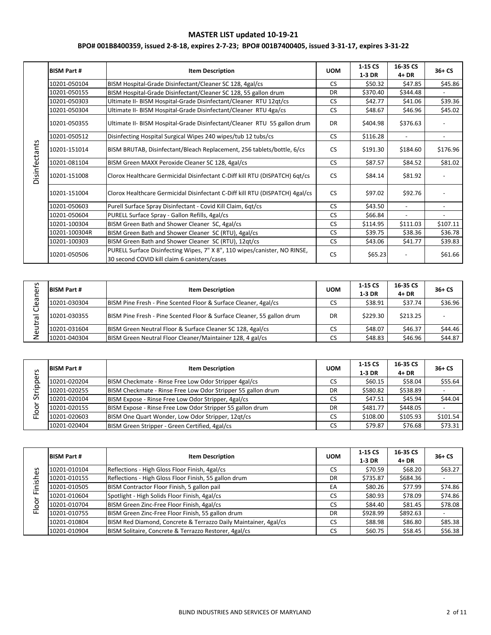|               | <b>BISM Part #</b> | <b>Item Description</b>                                                                                                   | <b>UOM</b> | 1-15 CS<br>1-3 DR | 16-35 CS<br>$4+DR$       | $36+CS$                  |
|---------------|--------------------|---------------------------------------------------------------------------------------------------------------------------|------------|-------------------|--------------------------|--------------------------|
|               | 10201-050104       | BISM Hospital-Grade Disinfectant/Cleaner SC 128, 4gal/cs                                                                  | <b>CS</b>  | \$50.32           | \$47.85                  | \$45.86                  |
|               | 10201-050155       | BISM Hospital-Grade Disinfectant/Cleaner SC 128, 55 gallon drum                                                           | <b>DR</b>  | \$370.40          | \$344.48                 |                          |
|               | 10201-050303       | Ultimate II- BISM Hospital-Grade Disinfectant/Cleaner RTU 12qt/cs                                                         | <b>CS</b>  | \$42.77           | \$41.06                  | \$39.36                  |
|               | 10201-050304       | Ultimate II- BISM Hospital-Grade Disinfectant/Cleaner RTU 4ga/cs                                                          | <b>CS</b>  | \$48.67           | \$46.96                  | \$45.02                  |
|               | 10201-050355       | Ultimate II- BISM Hospital-Grade Disinfectant/Cleaner RTU 55 gallon drum                                                  | <b>DR</b>  | \$404.98          | \$376.63                 |                          |
|               | 10201-050512       | Disinfecting Hospital Surgical Wipes 240 wipes/tub 12 tubs/cs                                                             | <b>CS</b>  | \$116.28          | $\overline{\phantom{a}}$ | $\overline{\phantom{a}}$ |
| Disinfectants | 10201-151014       | BISM BRUTAB, Disinfectant/Bleach Replacement, 256 tablets/bottle, 6/cs                                                    | <b>CS</b>  | \$191.30          | \$184.60                 | \$176.96                 |
|               | 10201-081104       | BISM Green MAXX Peroxide Cleaner SC 128, 4gal/cs                                                                          | <b>CS</b>  | \$87.57           | \$84.52                  | \$81.02                  |
|               | 10201-151008       | Clorox Healthcare Germicidal Disinfectant C-Diff kill RTU (DISPATCH) 6qt/cs                                               | <b>CS</b>  | \$84.14           | \$81.92                  |                          |
|               | 10201-151004       | Clorox Healthcare Germicidal Disinfectant C-Diff kill RTU (DISPATCH) 4gal/cs                                              | <b>CS</b>  | \$97.02           | \$92.76                  |                          |
|               | 10201-050603       | Purell Surface Spray Disinfectant - Covid Kill Claim, 6qt/cs                                                              | <b>CS</b>  | \$43.50           | $\overline{\phantom{0}}$ |                          |
|               | 10201-050604       | PURELL Surface Spray - Gallon Refills, 4gal/cs                                                                            | <b>CS</b>  | \$66.84           |                          |                          |
|               | 10201-100304       | BISM Green Bath and Shower Cleaner SC, 4gal/cs                                                                            | <b>CS</b>  | \$114.95          | \$111.03                 | \$107.11                 |
|               | 10201-100304R      | BISM Green Bath and Shower Cleaner SC (RTU), 4gal/cs                                                                      | <b>CS</b>  | \$39.75           | \$38.36                  | \$36.78                  |
|               | 10201-100303       | BISM Green Bath and Shower Cleaner SC (RTU), 12qt/cs                                                                      | <b>CS</b>  | \$43.06           | \$41.77                  | \$39.83                  |
|               | 10201-050506       | PURELL Surface Disinfecting Wipes, 7" X 8", 110 wipes/canister, NO RINSE,<br>30 second COVID kill claim 6 canisters/cases | <b>CS</b>  | \$65.23           |                          | \$61.66                  |

| S<br>∽<br>Φ | <b>BISM Part #</b> | <b>Item Description</b>                                                | <b>UOM</b> | $1-15CS$<br>$1-3$ DR | 16-35 CS<br>$4+DR$ | $36+CS$ |
|-------------|--------------------|------------------------------------------------------------------------|------------|----------------------|--------------------|---------|
| ᡕᠣ          |                    |                                                                        |            |                      |                    |         |
| ω           | 10201-030304       | BISM Pine Fresh - Pine Scented Floor & Surface Cleaner, 4gal/cs        | CS         | \$38.91              | \$37.74            | \$36.96 |
| ᡴᠦ<br>ٮ     | 10201-030355       | BISM Pine Fresh - Pine Scented Floor & Surface Cleaner, 55 gallon drum | DR         | \$229.30             | \$213.25           |         |
| ω           | 10201-031604       | BISM Green Neutral Floor & Surface Cleaner SC 128, 4gal/cs             | CS         | \$48.07              | \$46.37            | \$44.46 |
|             | 10201-040304       | BISM Green Neutral Floor Cleaner/Maintainer 128, 4 gal/cs              | CS         | \$48.83              | \$46.96            | \$44.87 |

|        | <b>BISM Part #</b> | <b>Item Description</b>                                      | <b>UOM</b> | 1-15 CS  | 16-35 CS | $36+CS$  |
|--------|--------------------|--------------------------------------------------------------|------------|----------|----------|----------|
| S      |                    |                                                              |            | 1-3 DR   | $4+DR$   |          |
| ō<br>Ō | 10201-020204       | BISM Checkmate - Rinse Free Low Odor Stripper 4gal/cs        | CS         | \$60.15  | \$58.04  | \$55.64  |
| Q      | 10201-020255       | BISM Checkmate - Rinse Free Low Odor Stripper 55 gallon drum | DR         | \$580.82 | \$538.89 |          |
| 5      | 10201-020104       | BISM Expose - Rinse Free Low Odor Stripper, 4gal/cs          | CS         | \$47.51  | \$45.94  | \$44.04  |
| Ō      | 10201-020155       | BISM Expose - Rinse Free Low Odor Stripper 55 gallon drum    | DR         | \$481.77 | \$448.05 |          |
|        | 10201-020603       | BISM One Quart Wonder, Low Odor Stripper, 12qt/cs            | CS         | \$108.00 | \$105.93 | \$101.54 |
|        | 10201-020404       | BISM Green Stripper - Green Certified, 4gal/cs               | CS         | \$79.87  | \$76.68  | \$73.31  |

|            | <b>BISM Part #</b> | <b>Item Description</b>                                         | <b>UOM</b> | 1-15 CS<br>1-3 DR | 16-35 CS<br>$4+DR$ | $36+CS$ |
|------------|--------------------|-----------------------------------------------------------------|------------|-------------------|--------------------|---------|
| δЭ         | 10201-010104       | Reflections - High Gloss Floor Finish, 4gal/cs                  | CS         | \$70.59           | \$68.20            | \$63.27 |
|            | 10201-010155       | Reflections - High Gloss Floor Finish, 55 gallon drum           | DR         | \$735.87          | \$684.36           |         |
| inish      | 10201-010505       | BISM Contractor Floor Finish, 5 gallon pail                     | EA         | \$80.26           | \$77.99            | \$74.86 |
| ட<br>┶     | 10201-010604       | Spotlight - High Solids Floor Finish, 4gal/cs                   | <b>CS</b>  | \$80.93           | \$78.09            | \$74.86 |
| <u>ool</u> | 10201-010704       | BISM Green Zinc-Free Floor Finish, 4gal/cs                      | CS         | \$84.40           | \$81.45            | \$78.08 |
| 匸          | 10201-010755       | BISM Green Zinc-Free Floor Finish, 55 gallon drum               | DR         | \$928.99          | \$892.63           |         |
|            | 10201-010804       | BISM Red Diamond, Concrete & Terrazzo Daily Maintainer, 4gal/cs | CS         | \$88.98           | \$86.80            | \$85.38 |
|            | 10201-010904       | BISM Solitaire, Concrete & Terrazzo Restorer, 4gal/cs           | CS         | \$60.75           | \$58.45            | \$56.38 |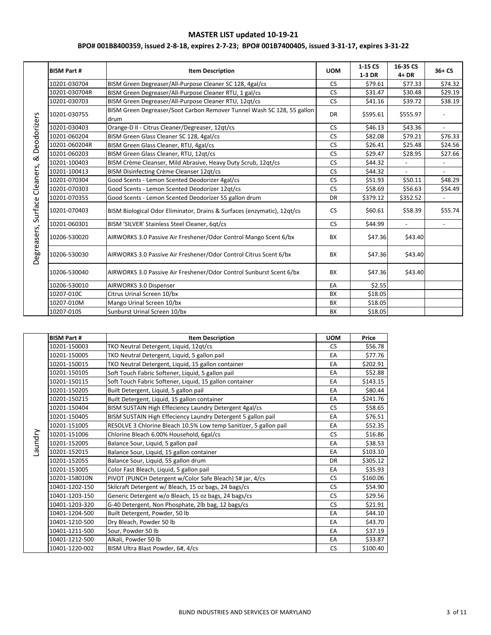|             | <b>BISM Part #</b> | <b>Item Description</b>                                                        | <b>UOM</b> | 1-15 CS<br>1-3 DR | 16-35 CS<br>$4+DR$       | $36 + CS$      |
|-------------|--------------------|--------------------------------------------------------------------------------|------------|-------------------|--------------------------|----------------|
|             | 10201-030704       | BISM Green Degreaser/All-Purpose Cleaner SC 128, 4gal/cs                       | <b>CS</b>  | \$79.61           | \$77.33                  | \$74.32        |
|             | 10201-030704R      | BISM Green Degreaser/All-Purpose Cleaner RTU, 1 gal/cs                         | <b>CS</b>  | \$31.47           | \$30.48                  | \$29.19        |
|             | 10201-030703       | BISM Green Degreaser/All-Purpose Cleaner RTU, 12qt/cs                          | <b>CS</b>  | \$41.16           | \$39.72                  | \$38.19        |
| Deodorizers | 10201-030755       | BISM Green Degreaser/Soot Carbon Remover Tunnel Wash SC 128, 55 gallon<br>drum | <b>DR</b>  | \$595.61          | \$555.97                 |                |
|             | 10201-030403       | Orange-D II - Citrus Cleaner/Degreaser, 12qt/cs                                | <b>CS</b>  | \$46.13           | \$43.36                  | $\overline{a}$ |
|             | 10201-060204       | BISM Green Glass Cleaner SC 128, 4gal/cs                                       | <b>CS</b>  | \$82.08           | \$79.21                  | \$76.33        |
|             | 10201-060204R      | BISM Green Glass Cleaner, RTU, 4gal/cs                                         | <b>CS</b>  | \$26.41           | \$25.48                  | \$24.56        |
| ∞           | 10201-060203       | BISM Green Glass Cleaner, RTU, 12qt/cs                                         | <b>CS</b>  | \$29.47           | \$28.95                  | \$27.66        |
|             | 10201-100403       | BISM Crème Cleanser, Mild Abrasive, Heavy Duty Scrub, 12qt/cs                  | <b>CS</b>  | \$44.32           |                          |                |
| Cleaners,   | 10201-100413       | BISM Disinfecting Crème Cleanser 12qt/cs                                       | <b>CS</b>  | \$44.32           | $\overline{a}$           | $\overline{a}$ |
|             | 10201-070304       | Good Scents - Lemon Scented Deodorizer 4gal/cs                                 | <b>CS</b>  | \$51.93           | \$50.11                  | \$48.29        |
|             | 10201-070303       | Good Scents - Lemon Scented Deodorizer 12qt/cs                                 | <b>CS</b>  | \$58.69           | \$56.63                  | \$54.49        |
|             | 10201-070355       | Good Scents - Lemon Scented Deodorizer 55 gallon drum                          | DR         | \$379.12          | \$352.52                 | $\overline{a}$ |
| Surface     | 10201-070403       | BISM Biological Odor Eliminator, Drains & Surfaces (enzymatic), 12qt/cs        | <b>CS</b>  | \$60.61           | \$58.39                  | \$55.74        |
|             | 10201-060301       | BISM 'SILVER' Stainless Steel Cleaner, 6qt/cs                                  | <b>CS</b>  | \$44.99           | $\overline{\phantom{a}}$ |                |
| Degreasers, | 10206-530020       | AIRWORKS 3.0 Passive Air Freshener/Odor Control Mango Scent 6/bx               | BX         | \$47.36           | \$43.40                  |                |
|             | 10206-530030       | AIRWORKS 3.0 Passive Air Freshener/Odor Control Citrus Scent 6/bx              | BX         | \$47.36           | \$43.40                  |                |
|             | 10206-530040       | AIRWORKS 3.0 Passive Air Freshener/Odor Control Sunburst Scent 6/bx            | <b>BX</b>  | \$47.36           | \$43.40                  |                |
|             | 10206-530010       | AIRWORKS 3.0 Dispenser                                                         | EA         | \$2.55            |                          |                |
|             | 10207-010C         | Citrus Urinal Screen 10/bx                                                     | <b>BX</b>  | \$18.05           |                          |                |
|             | 10207-010M         | Mango Urinal Screen 10/bx                                                      | BX         | \$18.05           |                          |                |
|             | 10207-010S         | Sunburst Urinal Screen 10/bx                                                   | BX         | \$18.05           |                          |                |

|         | <b>BISM Part #</b> | <b>Item Description</b>                                           | <b>UOM</b> | Price    |
|---------|--------------------|-------------------------------------------------------------------|------------|----------|
|         | 10201-150003       | TKO Neutral Detergent, Liquid, 12qt/cs                            | <b>CS</b>  | \$56.78  |
|         | 10201-150005       | TKO Neutral Detergent, Liquid, 5 gallon pail                      | EA         | \$77.76  |
|         | 10201-150015       | TKO Neutral Detergent, Liquid, 15 gallon container                | EA         | \$202.91 |
|         | 10201-150105       | Soft Touch Fabric Softener, Liquid, 5 gallon pail                 | EA         | \$52.88  |
|         | 10201-150115       | Soft Touch Fabric Softener, Liquid, 15 gallon container           | EA         | \$143.15 |
|         | 10201-150205       | Built Detergent, Liquid, 5 gallon pail                            | EA         | \$80.44  |
|         | 10201-150215       | Built Detergent, Liquid, 15 gallon container                      | EA         | \$241.76 |
|         | 10201-150404       | BISM SUSTAIN High Effeciency Laundry Detergent 4gal/cs            | <b>CS</b>  | \$58.65  |
|         | 10201-150405       | BISM SUSTAIN High Effeciency Laundry Detergent 5 gallon pail      | EA         | \$76.51  |
|         | 10201-151005       | RESOLVE 3 Chlorine Bleach 10.5% Low temp Sanitizer, 5 gallon pail | EA         | \$52.35  |
| Laundry | 10201-151006       | Chlorine Bleach 6.00% Household, 6gal/cs                          | <b>CS</b>  | \$16.86  |
|         | 10201-152005       | Balance Sour, Liquid, 5 gallon pail                               | EA         | \$38.53  |
|         | 10201-152015       | Balance Sour, Liquid, 15 gallon container                         | EA         | \$103.10 |
|         | 10201-152055       | Balance Sour, Liquid, 55 gallon drum                              | <b>DR</b>  | \$305.12 |
|         | 10201-153005       | Color Fast Bleach, Liquid, 5 gallon pail                          | EA         | \$35.93  |
|         | 10201-158010N      | PIVOT (PUNCH Detergent w/Color Safe Bleach) 5# jar, 4/cs          | <b>CS</b>  | \$160.06 |
|         | 10401-1202-150     | Skilcraft Detergent w/ Bleach, 15 oz bags, 24 bags/cs             | <b>CS</b>  | \$54.90  |
|         | 10401-1203-150     | Generic Detergent w/o Bleach, 15 oz bags, 24 bags/cs              | <b>CS</b>  | \$29.56  |
|         | 10401-1203-320     | G-40 Detergent, Non Phosphate, 2lb bag, 12 bags/cs                | <b>CS</b>  | \$21.91  |
|         | 10401-1204-500     | Built Detergent, Powder, 50 lb                                    | EA         | \$44.10  |
|         | 10401-1210-500     | Dry Bleach, Powder 50 lb                                          | EA         | \$43.70  |
|         | 10401-1211-500     | Sour, Powder 50 lb                                                | EA         | \$37.19  |
|         | 10401-1212-500     | Alkali, Powder 50 lb                                              | EA         | \$33.87  |
|         | 10401-1220-002     | BISM Ultra Blast Powder, 6#, 4/cs                                 | <b>CS</b>  | \$100.40 |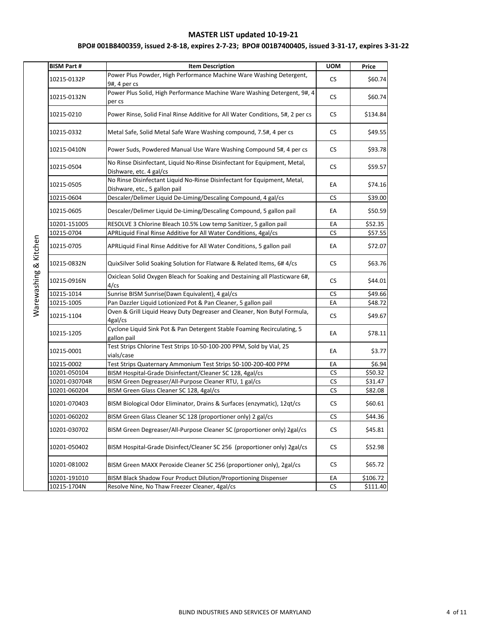# **BPO# 001B8400359, issued 2-8-18, expires 2-7-23; BPO# 001B7400405, issued 3-31-17, expires 3-31-22**

| <b>BISM Part #</b> | <b>Item Description</b>                                                                                   | <b>UOM</b> | Price    |
|--------------------|-----------------------------------------------------------------------------------------------------------|------------|----------|
| 10215-0132P        | Power Plus Powder, High Performance Machine Ware Washing Detergent,<br>9#, 4 per cs                       | CS.        | \$60.74  |
| 10215-0132N        | Power Plus Solid, High Performance Machine Ware Washing Detergent, 9#, 4<br>per cs                        | CS         | \$60.74  |
| 10215-0210         | Power Rinse, Solid Final Rinse Additive for All Water Conditions, 5#, 2 per cs                            | <b>CS</b>  | \$134.84 |
| 10215-0332         | Metal Safe, Solid Metal Safe Ware Washing compound, 7.5#, 4 per cs                                        | CS.        | \$49.55  |
| 10215-0410N        | Power Suds, Powdered Manual Use Ware Washing Compound 5#, 4 per cs                                        | <b>CS</b>  | \$93.78  |
| 10215-0504         | No Rinse Disinfectant, Liquid No-Rinse Disinfectant for Equipment, Metal,<br>Dishware, etc. 4 gal/cs      | CS.        | \$59.57  |
| 10215-0505         | No Rinse Disinfectant Liquid No-Rinse Disinfectant for Equipment, Metal,<br>Dishware, etc., 5 gallon pail | ЕA         | \$74.16  |
| 10215-0604         | Descaler/Delimer Liquid De-Liming/Descaling Compound, 4 gal/cs                                            | <b>CS</b>  | \$39.00  |
| 10215-0605         | Descaler/Delimer Liquid De-Liming/Descaling Compound, 5 gallon pail                                       | ЕA         | \$50.59  |
| 10201-151005       | RESOLVE 3 Chlorine Bleach 10.5% Low temp Sanitizer, 5 gallon pail                                         | EA         | \$52.35  |
| 10215-0704         | APRLiquid Final Rinse Additive for All Water Conditions, 4gal/cs                                          | <b>CS</b>  | \$57.55  |
| 10215-0705         | APRLiquid Final Rinse Additive for All Water Conditions, 5 gallon pail                                    | ЕA         | \$72.07  |
| 10215-0832N        | QuixSilver Solid Soaking Solution for Flatware & Related Items, 6# 4/cs                                   | <b>CS</b>  | \$63.76  |
| 10215-0916N        | Oxiclean Solid Oxygen Bleach for Soaking and Destaining all Plasticware 6#,<br>4/cs                       | CS.        | \$44.01  |
| 10215-1014         | Sunrise BISM Sunrise(Dawn Equivalent), 4 gal/cs                                                           | <b>CS</b>  | \$49.66  |
| 10215-1005         | Pan Dazzler Liquid Lotionized Pot & Pan Cleaner, 5 gallon pail                                            | EA         | \$48.72  |
| 10215-1104         | Oven & Grill Liquid Heavy Duty Degreaser and Cleaner, Non Butyl Formula,<br>4gal/cs                       | CS         | \$49.67  |
| 10215-1205         | Cyclone Liquid Sink Pot & Pan Detergent Stable Foaming Recirculating, 5<br>gallon pail                    | EA         | \$78.11  |
| 10215-0001         | Test Strips Chlorine Test Strips 10-50-100-200 PPM, Sold by Vial, 25<br>vials/case                        | ЕA         | \$3.77   |
| 10215-0002         | Test Strips Quaternary Ammonium Test Strips 50-100-200-400 PPM                                            | ЕA         | \$6.94   |
| 10201-050104       | BISM Hospital-Grade Disinfectant/Cleaner SC 128, 4gal/cs                                                  | <b>CS</b>  | \$50.32  |
| 10201-030704R      | BISM Green Degreaser/All-Purpose Cleaner RTU, 1 gal/cs                                                    | CS         | \$31.47  |
| 10201-060204       | BISM Green Glass Cleaner SC 128, 4gal/cs                                                                  | <b>CS</b>  | \$82.08  |
| 10201-070403       | BISM Biological Odor Eliminator, Drains & Surfaces (enzymatic), 12qt/cs                                   | <b>CS</b>  | \$60.61  |
| 10201-060202       | BISM Green Glass Cleaner SC 128 (proportioner only) 2 gal/cs                                              | CS         | \$44.36  |
| 10201-030702       | BISM Green Degreaser/All-Purpose Cleaner SC (proportioner only) 2gal/cs                                   | <b>CS</b>  | \$45.81  |
| 10201-050402       | BISM Hospital-Grade Disinfect/Cleaner SC 256 (proportioner only) 2gal/cs                                  | <b>CS</b>  | \$52.98  |
| 10201-081002       | BISM Green MAXX Peroxide Cleaner SC 256 (proportioner only), 2gal/cs                                      | <b>CS</b>  | \$65.72  |
| 10201-191010       | BISM Black Shadow Four Product Dilution/Proportioning Dispenser                                           | EA         | \$106.72 |
| 10215-1704N        | Resolve Nine, No Thaw Freezer Cleaner, 4gal/cs                                                            | <b>CS</b>  | \$111.40 |

Warewashing & Kitchen Warewashing & Kitchen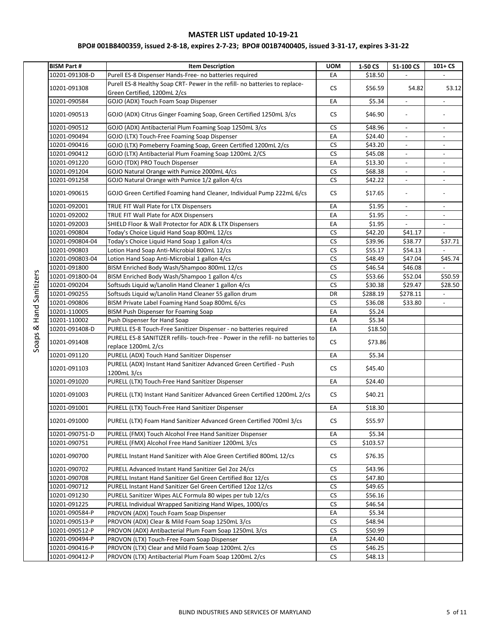| <b>BISM Part#</b> | <b>Item Description</b>                                                                                     | <b>UOM</b> | 1-50 CS  | 51-100 CS                | $101 + CS$                   |
|-------------------|-------------------------------------------------------------------------------------------------------------|------------|----------|--------------------------|------------------------------|
| 10201-091308-D    | Purell ES-8 Dispenser Hands-Free- no batteries required                                                     | EA         | \$18.50  |                          |                              |
| 10201-091308      | Purell ES-8 Healthy Soap CRT- Pewer in the refill- no batteries to replace-<br>Green Certified, 1200mL 2/cs | <b>CS</b>  | \$56.59  | 54.82                    | 53.12                        |
| 10201-090584      | GOJO (ADX) Touch Foam Soap Dispenser                                                                        | EA         | \$5.34   | $\overline{\phantom{a}}$ |                              |
| 10201-090513      | GOJO (ADX) Citrus Ginger Foaming Soap, Green Certified 1250mL 3/cs                                          | <b>CS</b>  | \$46.90  | $\frac{1}{2}$            |                              |
| 10201-090512      | GOJO (ADX) Antibacterial Plum Foaming Soap 1250mL 3/cs                                                      | <b>CS</b>  | \$48.96  | $\overline{\phantom{a}}$ | $\overline{\phantom{a}}$     |
| 10201-090494      | GOJO (LTX) Touch-Free Foaming Soap Dispenser                                                                | EA         | \$24.40  | $\overline{\phantom{a}}$ |                              |
| 10201-090416      | GOJO (LTX) Pomeberry Foaming Soap, Green Certified 1200mL 2/cs                                              | <b>CS</b>  | \$43.20  | $\overline{\phantom{a}}$ | $\overline{\phantom{a}}$     |
| 10201-090412      | GOJO (LTX) Antibacterial Plum Foaming Soap 1200mL 2/CS                                                      | CS         | \$45.08  | $\overline{\phantom{a}}$ | $\overline{\phantom{a}}$     |
| 10201-091220      | GOJO (TDX) PRO Touch Dispenser                                                                              | EA         | \$13.30  | $\overline{\phantom{a}}$ | $\overline{a}$               |
| 10201-091204      | GOJO Natural Orange with Pumice 2000mL 4/cs                                                                 | <b>CS</b>  | \$68.38  | $\overline{\phantom{a}}$ | $\overline{\phantom{a}}$     |
| 10201-091258      | GOJO Natural Orange with Pumice 1/2 gallon 4/cs                                                             | <b>CS</b>  | \$42.22  | $\overline{\phantom{a}}$ | $\qquad \qquad \blacksquare$ |
| 10201-090615      | GOJO Green Certified Foaming hand Cleaner, Individual Pump 222mL 6/cs                                       | <b>CS</b>  | \$17.65  | $\overline{\phantom{a}}$ | $\overline{\phantom{a}}$     |
| 10201-092001      | TRUE FIT Wall Plate for LTX Dispensers                                                                      | EA         | \$1.95   |                          |                              |
| 10201-092002      | TRUE FIT Wall Plate for ADX Dispensers                                                                      | EA         | \$1.95   | $\Box$                   | $\overline{\phantom{a}}$     |
| 10201-092003      | SHIELD Floor & Wall Protector for ADX & LTX Dispensers                                                      | EA         | \$1.95   | $\overline{\phantom{a}}$ | $\overline{\phantom{a}}$     |
| 10201-090804      | Today's Choice Liquid Hand Soap 800mL 12/cs                                                                 | <b>CS</b>  | \$42.20  | \$41.17                  |                              |
| 10201-090804-04   | Today's Choice Liquid Hand Soap 1 gallon 4/cs                                                               | <b>CS</b>  | \$39.96  | \$38.77                  | \$37.71                      |
| 10201-090803      | Lotion Hand Soap Anti-Microbial 800mL 12/cs                                                                 | CS         | \$55.17  | \$54.13                  |                              |
| 10201-090803-04   | Lotion Hand Soap Anti-Microbial 1 gallon 4/cs                                                               | <b>CS</b>  | \$48.49  | \$47.04                  | \$45.74                      |
| 10201-091800      | BISM Enriched Body Wash/Shampoo 800mL 12/cs                                                                 | <b>CS</b>  | \$46.54  | \$46.08                  |                              |
| 10201-091800-04   | BISM Enriched Body Wash/Shampoo 1 gallon 4/cs                                                               | <b>CS</b>  | \$53.66  | \$52.04                  | \$50.59                      |
| 10201-090204      | Softsuds Liquid w/Lanolin Hand Cleaner 1 gallon 4/cs                                                        | <b>CS</b>  | \$30.38  | \$29.47                  | \$28.50                      |
| 10201-090255      | Softsuds Liquid w/Lanolin Hand Cleaner 55 gallon drum                                                       | DR         | \$288.19 | \$278.11                 |                              |
| 10201-090806      | BISM Private Label Foaming Hand Soap 800mL 6/cs                                                             | <b>CS</b>  | \$36.08  | \$33.80                  |                              |
| 10201-110005      | BISM Push Dispenser for Foaming Soap                                                                        | EA         | \$5.24   |                          |                              |
| 10201-110002      | Push Dispenser for Hand Soap                                                                                | EA         | \$5.34   |                          |                              |
| 10201-091408-D    | PURELL ES-8 Touch-Free Sanitizer Dispenser - no batteries required                                          | EA         | \$18.50  |                          |                              |
| 10201-091408      | PURELL ES-8 SANITIZER refills- touch-free - Power in the refill- no batteries to<br>replace 1200mL 2/cs     | <b>CS</b>  | \$73.86  |                          |                              |
| 10201-091120      | PURELL (ADX) Touch Hand Sanitizer Dispenser                                                                 | EA         | \$5.34   |                          |                              |
|                   | PURELL (ADX) Instant Hand Sanitizer Advanced Green Certified - Push                                         |            |          |                          |                              |
| 10201-091103      | 1200mL 3/cs                                                                                                 | <b>CS</b>  | \$45.40  |                          |                              |
| 10201-091020      | PURELL (LTX) Touch-Free Hand Sanitizer Dispenser                                                            | EA         | \$24.40  |                          |                              |
| 10201-091003      | PURELL (LTX) Instant Hand Sanitizer Advanced Green Certified 1200mL 2/cs                                    | CS.        | \$40.21  |                          |                              |
| 10201-091001      | PURELL (LTX) Touch-Free Hand Sanitizer Dispenser                                                            | EA         | \$18.30  |                          |                              |
| 10201-091000      | PURELL (LTX) Foam Hand Sanitizer Advanced Green Certified 700ml 3/cs                                        | <b>CS</b>  | \$55.97  |                          |                              |
| 10201-090751-D    | PURELL (FMX) Touch Alcohol Free Hand Sanitizer Dispenser                                                    | EA         | \$5.34   |                          |                              |
| 10201-090751      | PURELL (FMX) Alcohol Free Hand Sanitizer 1200mL 3/cs                                                        | CS.        | \$103.57 |                          |                              |
| 10201-090700      | PURELL Instant Hand Sanitizer with Aloe Green Certified 800mL 12/cs                                         | CS         | \$76.35  |                          |                              |
| 10201-090702      | PURELL Advanced Instant Hand Sanitizer Gel 2oz 24/cs                                                        | <b>CS</b>  | \$43.96  |                          |                              |
| 10201-090708      | PURELL Instant Hand Sanitizer Gel Green Certified 8oz 12/cs                                                 | <b>CS</b>  | \$47.80  |                          |                              |
| 10201-090712      | PURELL Instant Hand Sanitizer Gel Green Certified 12oz 12/cs                                                | CS         | \$49.65  |                          |                              |
| 10201-091230      | PURELL Sanitizer Wipes ALC Formula 80 wipes per tub 12/cs                                                   | <b>CS</b>  | \$56.16  |                          |                              |
| 10201-091225      | PURELL Individual Wrapped Sanitizing Hand Wipes, 1000/cs                                                    | <b>CS</b>  | \$46.54  |                          |                              |
| 10201-090584-P    | PROVON (ADX) Touch Foam Soap Dispenser                                                                      | EA         | \$5.34   |                          |                              |
| 10201-090513-P    | PROVON (ADX) Clear & Mild Foam Soap 1250mL 3/cs                                                             | <b>CS</b>  | \$48.94  |                          |                              |
| 10201-090512-P    | PROVON (ADX) Antibacterial Plum Foam Soap 1250mL 3/cs                                                       | <b>CS</b>  | \$50.99  |                          |                              |
| 10201-090494-P    | PROVON (LTX) Touch-Free Foam Soap Dispenser                                                                 | EA         | \$24.40  |                          |                              |
| 10201-090416-P    | PROVON (LTX) Clear and Mild Foam Soap 1200mL 2/cs                                                           | CS         | \$46.25  |                          |                              |
| 10201-090412-P    | PROVON (LTX) Antibacterial Plum Foam Soap 1200mL 2/cs                                                       | ${\sf CS}$ | \$48.13  |                          |                              |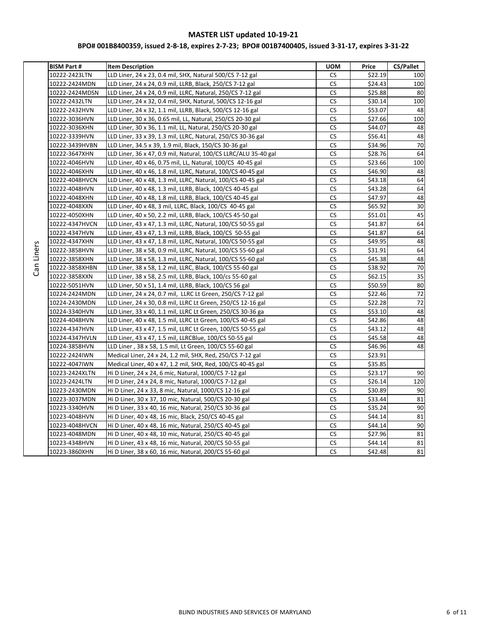# **BPO# 001B8400359, issued 2-8-18, expires 2-7-23; BPO# 001B7400405, issued 3-31-17, expires 3-31-22**

| <b>BISM Part #</b> | <b>Item Description</b>                                         | <b>UOM</b> | Price   | <b>CS/Pallet</b> |
|--------------------|-----------------------------------------------------------------|------------|---------|------------------|
| 10222-2423LTN      | LLD Liner, 24 x 23, 0.4 mil, SHX, Natural 500/CS 7-12 gal       | CS.        | \$22.19 | 100              |
| 10222-2424MDN      | LLD Liner, 24 x 24, 0.9 mil, LLRB, Black, 250/CS 7-12 gal       | <b>CS</b>  | \$24.43 | 100              |
| 10222-2424MDSN     | LLD Liner, 24 x 24, 0.9 mil, LLRC, Natural, 250/CS 7-12 gal     | <b>CS</b>  | \$25.88 | 80               |
| 10222-2432LTN      | LLD Liner, 24 x 32, 0.4 mil, SHX, Natural, 500/CS 12-16 gal     | <b>CS</b>  | \$30.14 | 100              |
| 10222-2432HVN      | LLD Liner, 24 x 32, 1.1 mil, LLRB, Black, 500/CS 12-16 gal      | <b>CS</b>  | \$53.07 | 48               |
| 10222-3036HVN      | LLD Liner, 30 x 36, 0.65 mil, LL, Natural, 250/CS 20-30 gal     | CS         | \$27.66 | 100              |
| 10222-3036XHN      | LLD Liner, 30 x 36, 1.1 mil, LL, Natural, 250/CS 20-30 gal      | <b>CS</b>  | \$44.07 | 48               |
| 10222-3339HVN      | LLD Liner, 33 x 39, 1.3 mil, LLRC, Natural, 250/CS 30-36 gal    | CS         | \$56.41 | 48               |
| 10222-3439HVBN     | LLD Liner, 34.5 x 39, 1.9 mil, Black, 150/CS 30-36 gal          | CS         | \$34.96 | 70               |
| 10222-3647XHN      | LLD Liner, 36 x 47, 0.9 mil, Natural, 100/CS LLRC/ALU 35-40 gal | <b>CS</b>  | \$28.76 | 64               |
| 10222-4046HVN      | LLD Liner, 40 x 46, 0.75 mil, LL, Natural, 100/CS 40-45 gal     | CS         | \$23.66 | 100              |
| 10222-4046XHN      | LLD Liner, 40 x 46, 1.8 mil, LLRC, Natural, 100/CS 40-45 gal    | <b>CS</b>  | \$46.90 | 48               |
| 10222-4048HVCN     | LLD Liner, 40 x 48, 1.3 mil, LLRC, Natural, 100/CS 40-45 gal    | <b>CS</b>  | \$43.18 | 64               |
| 10222-4048HVN      | LLD Liner, 40 x 48, 1.3 mil, LLRB, Black, 100/CS 40-45 gal      | <b>CS</b>  | \$43.28 | 64               |
| 10222-4048XHN      | LLD Liner, 40 x 48, 1.8 mil, LLRB, Black, 100/CS 40-45 gal      | CS         | \$47.97 | 48               |
| 10222-4048XXN      | LLD Liner, 40 x 48, 3 mil, LLRC, Black, 100/CS 40-45 gal        | <b>CS</b>  | \$65.92 | 30               |
| 10222-4050XHN      | LLD Liner, 40 x 50, 2.2 mil, LLRB, Black, 100/CS 45-50 gal      | <b>CS</b>  | \$51.01 | 45               |
| 10222-4347HVCN     | LLD Liner, 43 x 47, 1.3 mil, LLRC, Natural, 100/CS 50-55 gal    | <b>CS</b>  | \$41.87 | 64               |
| 10222-4347HVN      | LLD Liner, 43 x 47, 1.3 mil, LLRB, Black, 100/CS 50-55 gal      | CS         | \$41.87 | 64               |
| 10222-4347XHN      | LLD Liner, 43 x 47, 1.8 mil, LLRC, Natural, 100/CS 50-55 gal    | CS         | \$49.95 | 48               |
| 10222-3858HVN      | LLD Liner, 38 x 58, 0.9 mil, LLRC, Natural, 100/CS 55-60 gal    | CS         | \$31.91 | 64               |
| 10222-3858XHN      | LLD Liner, 38 x 58, 1.3 mil, LLRC, Natural, 100/CS 55-60 gal    | <b>CS</b>  | \$45.38 | 48               |
| 10222-3858XHBN     | LLD Liner, 38 x 58, 1.2 mil, LLRC, Black, 100/CS 55-60 gal      | <b>CS</b>  | \$38.92 | 70               |
| 10222-3858XXN      | LLD Liner, 38 x 58, 2.5 mil, LLRB, Black, 100/cs 55-60 gal      | <b>CS</b>  | \$62.15 | $\overline{35}$  |
| 10222-5051HVN      | LLD Liner, 50 x 51, 1.4 mil, LLRB, Black, 100/CS 56 gal         | <b>CS</b>  | \$50.59 | 80               |
| 10224-2424MDN      | LLD Liner, 24 x 24, 0.7 mil, LLRC Lt Green, 250/CS 7-12 gal     | <b>CS</b>  | \$22.46 | 72               |
| 10224-2430MDN      | LLD Liner, 24 x 30, 0.8 mil, LLRC Lt Green, 250/CS 12-16 gal    | <b>CS</b>  | \$22.28 | $\overline{72}$  |
| 10224-3340HVN      | LLD Liner, 33 x 40, 1.1 mil, LLRC Lt Green, 250/CS 30-36 ga     | <b>CS</b>  | \$53.10 | 48               |
| 10224-4048HVN      | LLD Liner, 40 x 48, 1.5 mil, LLRC Lt Green, 100/CS 40-45 gal    | CS         | \$42.86 | 48               |
| 10224-4347HVN      | LLD Liner, 43 x 47, 1.5 mil, LLRC Lt Green, 100/CS 50-55 gal    | <b>CS</b>  | \$43.12 | 48               |
| 10224-4347HVLN     | LLD Liner, 43 x 47, 1.5 mil, LLRCBlue, 100/CS 50-55 gal         | <b>CS</b>  | \$45.58 | 48               |
| 10224-3858HVN      | LLD Liner, 38 x 58, 1.5 mil, Lt Green, 100/CS 55-60 gal         | <b>CS</b>  | \$46.96 | 48               |
| 10222-2424IWN      | Medical Liner, 24 x 24, 1.2 mil, SHX, Red, 250/CS 7-12 gal      | <b>CS</b>  | \$23.91 |                  |
| 10222-4047IWN      | Medical Liner, 40 x 47, 1.2 mil, SHX, Red, 100/CS 40-45 gal     | CS         | \$35.85 |                  |
| 10223-2424XLTN     | Hi D Liner, 24 x 24, 6 mic, Natural, 1000/CS 7-12 gal           | CS         | \$23.17 | 90               |
| 10223-2424LTN      | HI D Liner, 24 x 24, 8 mic, Natural, 1000/CS 7-12 gal           | <b>CS</b>  | \$26.14 | 120              |
| 10223-2430MDN      | Hi D Liner, 24 x 33, 8 mic, Natural, 1000/CS 12-16 gal          | CS         | \$30.89 | 90               |
| 10223-3037MDN      | Hi D Liner, 30 x 37, 10 mic, Natural, 500/CS 20-30 gal          | <b>CS</b>  | \$33.44 | 81               |
| 10223-3340HVN      | Hi D Liner, 33 x 40, 16 mic, Natural, 250/CS 30-36 gal          | <b>CS</b>  | \$35.24 | 90               |
| 10223-4048HVN      | Hi D Liner, 40 x 48, 16 mic, Black, 250/CS 40-45 gal            | CS.        | \$44.14 | 81               |
| 10223-4048HVCN     | Hi D Liner, 40 x 48, 16 mic, Natural, 250/CS 40-45 gal          | <b>CS</b>  | \$44.14 | 90               |
| 10223-4048MDN      | Hi D Liner, 40 x 48, 10 mic, Natural, 250/CS 40-45 gal          | <b>CS</b>  | \$27.96 | 81               |
| 10223-4348HVN      | Hi D Liner, 43 x 48, 16 mic, Natural, 200/CS 50-55 gal          | CS         | \$44.14 | 81               |
| 10223-3860XHN      | Hi D Liner, 38 x 60, 16 mic, Natural, 200/CS 55-60 gal          | <b>CS</b>  | \$42.48 | 81               |

Can Liners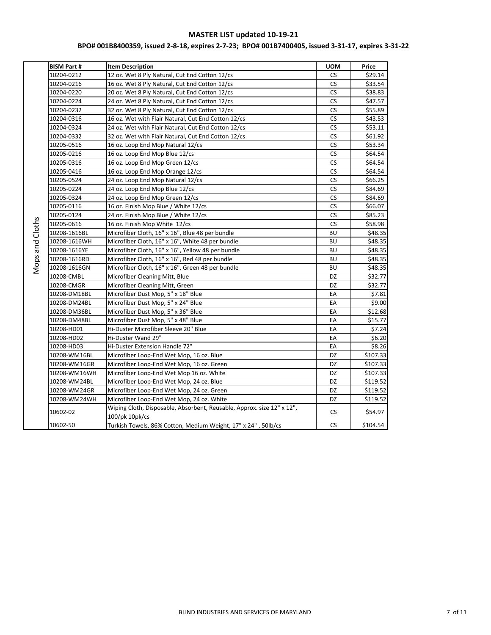| <b>BISM Part #</b> | <b>Item Description</b>                                                                  | <b>UOM</b> | Price    |
|--------------------|------------------------------------------------------------------------------------------|------------|----------|
| 10204-0212         | 12 oz. Wet 8 Ply Natural, Cut End Cotton 12/cs                                           | CS.        | \$29.14  |
| 10204-0216         | 16 oz. Wet 8 Ply Natural, Cut End Cotton 12/cs                                           | <b>CS</b>  | \$33.54  |
| 10204-0220         | 20 oz. Wet 8 Ply Natural, Cut End Cotton 12/cs                                           | <b>CS</b>  | \$38.83  |
| 10204-0224         | 24 oz. Wet 8 Ply Natural, Cut End Cotton 12/cs                                           | CS         | \$47.57  |
| 10204-0232         | 32 oz. Wet 8 Ply Natural, Cut End Cotton 12/cs                                           | <b>CS</b>  | \$55.89  |
| 10204-0316         | 16 oz. Wet with Flair Natural, Cut End Cotton 12/cs                                      | <b>CS</b>  | \$43.53  |
| 10204-0324         | 24 oz. Wet with Flair Natural, Cut End Cotton 12/cs                                      | <b>CS</b>  | \$53.11  |
| 10204-0332         | 32 oz. Wet with Flair Natural, Cut End Cotton 12/cs                                      | <b>CS</b>  | \$61.92  |
| 10205-0516         | 16 oz. Loop End Mop Natural 12/cs                                                        | CS         | \$53.34  |
| 10205-0216         | 16 oz. Loop End Mop Blue 12/cs                                                           | <b>CS</b>  | \$64.54  |
| 10205-0316         | 16 oz. Loop End Mop Green 12/cs                                                          | <b>CS</b>  | \$64.54  |
| 10205-0416         | 16 oz. Loop End Mop Orange 12/cs                                                         | CS         | \$64.54  |
| 10205-0524         | 24 oz. Loop End Mop Natural 12/cs                                                        | CS         | \$66.25  |
| 10205-0224         | 24 oz. Loop End Mop Blue 12/cs                                                           | <b>CS</b>  | \$84.69  |
| 10205-0324         | 24 oz. Loop End Mop Green 12/cs                                                          | <b>CS</b>  | \$84.69  |
| 10205-0116         | 16 oz. Finish Mop Blue / White 12/cs                                                     | <b>CS</b>  | \$66.07  |
| 10205-0124         | 24 oz. Finish Mop Blue / White 12/cs                                                     | CS.        | \$85.23  |
| 10205-0616         | 16 oz. Finish Mop White 12/cs                                                            | <b>CS</b>  | \$58.98  |
| 10208-1616BL       | Microfiber Cloth, 16" x 16", Blue 48 per bundle                                          | <b>BU</b>  | \$48.35  |
| 10208-1616WH       | Microfiber Cloth, 16" x 16", White 48 per bundle                                         | BU         | \$48.35  |
| 10208-1616YE       | Microfiber Cloth, 16" x 16", Yellow 48 per bundle                                        | BU         | \$48.35  |
| 10208-1616RD       | Microfiber Cloth, 16" x 16", Red 48 per bundle                                           | BU         | \$48.35  |
| 10208-1616GN       | Microfiber Cloth, 16" x 16", Green 48 per bundle                                         | BU         | \$48.35  |
| 10208-CMBL         | Microfiber Cleaning Mitt, Blue                                                           | DZ         | \$32.77  |
| 10208-CMGR         | Microfiber Cleaning Mitt, Green                                                          | DZ         | \$32.77  |
| 10208-DM18BL       | Microfiber Dust Mop, 5" x 18" Blue                                                       | EA         | \$7.81   |
| 10208-DM24BL       | Microfiber Dust Mop, 5" x 24" Blue                                                       | EA         | \$9.00   |
| 10208-DM36BL       | Microfiber Dust Mop, 5" x 36" Blue                                                       | EA         | \$12.68  |
| 10208-DM48BL       | Microfiber Dust Mop, 5" x 48" Blue                                                       | EA         | \$15.77  |
| 10208-HD01         | Hi-Duster Microfiber Sleeve 20" Blue                                                     | EA         | \$7.24   |
| 10208-HD02         | Hi-Duster Wand 29"                                                                       | EA         | \$6.20   |
| 10208-HD03         | Hi-Duster Extension Handle 72"                                                           | EA         | \$8.26   |
| 10208-WM16BL       | Microfiber Loop-End Wet Mop, 16 oz. Blue                                                 | DZ         | \$107.33 |
| 10208-WM16GR       | Microfiber Loop-End Wet Mop, 16 oz. Green                                                | DZ         | \$107.33 |
| 10208-WM16WH       | Microfiber Loop-End Wet Mop 16 oz. White                                                 | DZ         | \$107.33 |
| 10208-WM24BL       | Microfiber Loop-End Wet Mop, 24 oz. Blue                                                 | DZ         | \$119.52 |
| 10208-WM24GR       | Microfiber Loop-End Wet Mop, 24 oz. Green                                                | DZ         | \$119.52 |
| 10208-WM24WH       | Microfiber Loop-End Wet Mop, 24 oz. White                                                | DZ         | \$119.52 |
| 10602-02           | Wiping Cloth, Disposable, Absorbent, Reusable, Approx. size 12" x 12",<br>100/pk 10pk/cs | <b>CS</b>  | \$54.97  |
| 10602-50           | Turkish Towels, 86% Cotton, Medium Weight, 17" x 24", 50lb/cs                            | <b>CS</b>  | \$104.54 |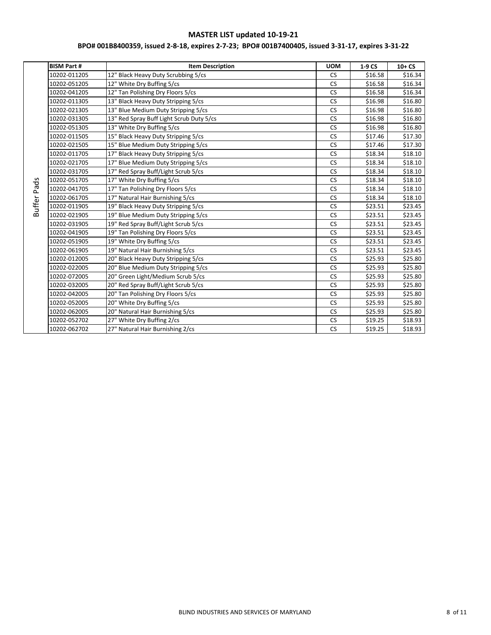|             | <b>BISM Part #</b> | <b>Item Description</b>                  | <b>UOM</b> | 1-9 CS  | $10+CS$ |
|-------------|--------------------|------------------------------------------|------------|---------|---------|
|             | 10202-011205       | 12" Black Heavy Duty Scrubbing 5/cs      | <b>CS</b>  | \$16.58 | \$16.34 |
|             | 10202-051205       | 12" White Dry Buffing 5/cs               | <b>CS</b>  | \$16.58 | \$16.34 |
|             | 10202-041205       | 12" Tan Polishing Dry Floors 5/cs        | <b>CS</b>  | \$16.58 | \$16.34 |
|             | 10202-011305       | 13" Black Heavy Duty Stripping 5/cs      | <b>CS</b>  | \$16.98 | \$16.80 |
|             | 10202-021305       | 13" Blue Medium Duty Stripping 5/cs      | <b>CS</b>  | \$16.98 | \$16.80 |
|             | 10202-031305       | 13" Red Spray Buff Light Scrub Duty 5/cs | <b>CS</b>  | \$16.98 | \$16.80 |
|             | 10202-051305       | 13" White Dry Buffing 5/cs               | <b>CS</b>  | \$16.98 | \$16.80 |
|             | 10202-011505       | 15" Black Heavy Duty Stripping 5/cs      | <b>CS</b>  | \$17.46 | \$17.30 |
|             | 10202-021505       | 15" Blue Medium Duty Stripping 5/cs      | <b>CS</b>  | \$17.46 | \$17.30 |
|             | 10202-011705       | 17" Black Heavy Duty Stripping 5/cs      | <b>CS</b>  | \$18.34 | \$18.10 |
|             | 10202-021705       | 17" Blue Medium Duty Stripping 5/cs      | <b>CS</b>  | \$18.34 | \$18.10 |
|             | 10202-031705       | 17" Red Spray Buff/Light Scrub 5/cs      | <b>CS</b>  | \$18.34 | \$18.10 |
|             | 10202-051705       | 17" White Dry Buffing 5/cs               | CS         | \$18.34 | \$18.10 |
|             | 10202-041705       | 17" Tan Polishing Dry Floors 5/cs        | <b>CS</b>  | \$18.34 | \$18.10 |
|             | 10202-061705       | 17" Natural Hair Burnishing 5/cs         | <b>CS</b>  | \$18.34 | \$18.10 |
| Buffer Pads | 10202-011905       | 19" Black Heavy Duty Stripping 5/cs      | <b>CS</b>  | \$23.51 | \$23.45 |
|             | 10202-021905       | 19" Blue Medium Duty Stripping 5/cs      | <b>CS</b>  | \$23.51 | \$23.45 |
|             | 10202-031905       | 19" Red Spray Buff/Light Scrub 5/cs      | <b>CS</b>  | \$23.51 | \$23.45 |
|             | 10202-041905       | 19" Tan Polishing Dry Floors 5/cs        | <b>CS</b>  | \$23.51 | \$23.45 |
|             | 10202-051905       | 19" White Dry Buffing 5/cs               | <b>CS</b>  | \$23.51 | \$23.45 |
|             | 10202-061905       | 19" Natural Hair Burnishing 5/cs         | <b>CS</b>  | \$23.51 | \$23.45 |
|             | 10202-012005       | 20" Black Heavy Duty Stripping 5/cs      | <b>CS</b>  | \$25.93 | \$25.80 |
|             | 10202-022005       | 20" Blue Medium Duty Stripping 5/cs      | <b>CS</b>  | \$25.93 | \$25.80 |
|             | 10202-072005       | 20" Green Light/Medium Scrub 5/cs        | <b>CS</b>  | \$25.93 | \$25.80 |
|             | 10202-032005       | 20" Red Spray Buff/Light Scrub 5/cs      | <b>CS</b>  | \$25.93 | \$25.80 |
|             | 10202-042005       | 20" Tan Polishing Dry Floors 5/cs        | <b>CS</b>  | \$25.93 | \$25.80 |
|             | 10202-052005       | 20" White Dry Buffing 5/cs               | <b>CS</b>  | \$25.93 | \$25.80 |
|             | 10202-062005       | 20" Natural Hair Burnishing 5/cs         | <b>CS</b>  | \$25.93 | \$25.80 |
|             | 10202-052702       | 27" White Dry Buffing 2/cs               | <b>CS</b>  | \$19.25 | \$18.93 |
|             | 10202-062702       | 27" Natural Hair Burnishing 2/cs         | <b>CS</b>  | \$19.25 | \$18.93 |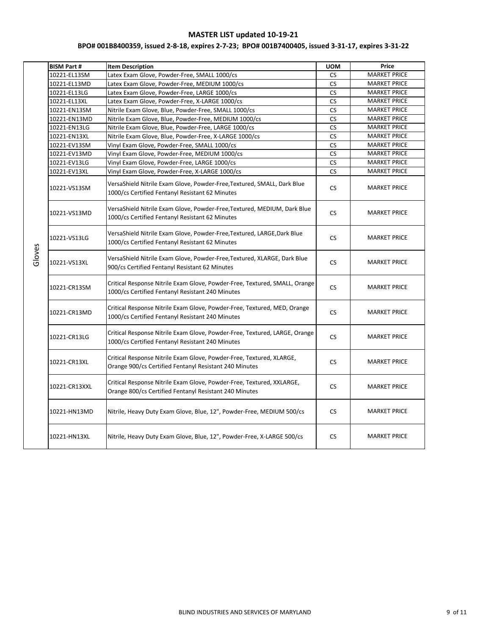|  | <b>BISM Part #</b> | <b>Item Description</b>                                                                                                         | <b>UOM</b> | Price               |
|--|--------------------|---------------------------------------------------------------------------------------------------------------------------------|------------|---------------------|
|  | 10221-EL13SM       | Latex Exam Glove, Powder-Free, SMALL 1000/cs                                                                                    | <b>CS</b>  | <b>MARKET PRICE</b> |
|  | 10221-EL13MD       | Latex Exam Glove, Powder-Free, MEDIUM 1000/cs                                                                                   | <b>CS</b>  | <b>MARKET PRICE</b> |
|  | 10221-EL13LG       | Latex Exam Glove, Powder-Free, LARGE 1000/cs                                                                                    | <b>CS</b>  | <b>MARKET PRICE</b> |
|  | 10221-EL13XL       | Latex Exam Glove, Powder-Free, X-LARGE 1000/cs                                                                                  | <b>CS</b>  | <b>MARKET PRICE</b> |
|  | 10221-EN13SM       | Nitrile Exam Glove, Blue, Powder-Free, SMALL 1000/cs                                                                            | <b>CS</b>  | <b>MARKET PRICE</b> |
|  | 10221-EN13MD       | Nitrile Exam Glove, Blue, Powder-Free, MEDIUM 1000/cs                                                                           | <b>CS</b>  | <b>MARKET PRICE</b> |
|  | 10221-EN13LG       | Nitrile Exam Glove, Blue, Powder-Free, LARGE 1000/cs                                                                            | CS         | <b>MARKET PRICE</b> |
|  | 10221-EN13XL       | Nitrile Exam Glove, Blue, Powder-Free, X-LARGE 1000/cs                                                                          | <b>CS</b>  | <b>MARKET PRICE</b> |
|  | 10221-EV13SM       | Vinyl Exam Glove, Powder-Free, SMALL 1000/cs                                                                                    | <b>CS</b>  | <b>MARKET PRICE</b> |
|  | 10221-EV13MD       | Vinyl Exam Glove, Powder-Free, MEDIUM 1000/cs                                                                                   | <b>CS</b>  | <b>MARKET PRICE</b> |
|  | 10221-EV13LG       | Vinyl Exam Glove, Powder-Free, LARGE 1000/cs                                                                                    | <b>CS</b>  | <b>MARKET PRICE</b> |
|  | 10221-EV13XL       | Vinyl Exam Glove, Powder-Free, X-LARGE 1000/cs                                                                                  | <b>CS</b>  | <b>MARKET PRICE</b> |
|  | 10221-VS13SM       | VersaShield Nitrile Exam Glove, Powder-Free, Textured, SMALL, Dark Blue<br>1000/cs Certified Fentanyl Resistant 62 Minutes      | <b>CS</b>  | <b>MARKET PRICE</b> |
|  | 10221-VS13MD       | VersaShield Nitrile Exam Glove, Powder-Free, Textured, MEDIUM, Dark Blue<br>1000/cs Certified Fentanyl Resistant 62 Minutes     | <b>CS</b>  | <b>MARKET PRICE</b> |
|  | 10221-VS13LG       | VersaShield Nitrile Exam Glove, Powder-Free, Textured, LARGE, Dark Blue<br>1000/cs Certified Fentanyl Resistant 62 Minutes      | <b>CS</b>  | <b>MARKET PRICE</b> |
|  | 10221-VS13XL       | VersaShield Nitrile Exam Glove, Powder-Free, Textured, XLARGE, Dark Blue<br>900/cs Certified Fentanyl Resistant 62 Minutes      | <b>CS</b>  | <b>MARKET PRICE</b> |
|  | 10221-CR13SM       | Critical Response Nitrile Exam Glove, Powder-Free, Textured, SMALL, Orange<br>1000/cs Certified Fentanyl Resistant 240 Minutes  | <b>CS</b>  | <b>MARKET PRICE</b> |
|  | 10221-CR13MD       | Critical Response Nitrile Exam Glove, Powder-Free, Textured, MED, Orange<br>1000/cs Certified Fentanyl Resistant 240 Minutes    | <b>CS</b>  | <b>MARKET PRICE</b> |
|  | 10221-CR13LG       | Critical Response Nitrile Exam Glove, Powder-Free, Textured, LARGE, Orange<br>1000/cs Certified Fentanyl Resistant 240 Minutes  | <b>CS</b>  | <b>MARKET PRICE</b> |
|  | 10221-CR13XL       | Critical Response Nitrile Exam Glove, Powder-Free, Textured, XLARGE,<br>Orange 900/cs Certified Fentanyl Resistant 240 Minutes  | <b>CS</b>  | <b>MARKET PRICE</b> |
|  | 10221-CR13XXL      | Critical Response Nitrile Exam Glove, Powder-Free, Textured, XXLARGE,<br>Orange 800/cs Certified Fentanyl Resistant 240 Minutes | <b>CS</b>  | <b>MARKET PRICE</b> |
|  | 10221-HN13MD       | Nitrile, Heavy Duty Exam Glove, Blue, 12", Powder-Free, MEDIUM 500/cs                                                           | <b>CS</b>  | <b>MARKET PRICE</b> |
|  | 10221-HN13XL       | Nitrile, Heavy Duty Exam Glove, Blue, 12", Powder-Free, X-LARGE 500/cs                                                          | <b>CS</b>  | <b>MARKET PRICE</b> |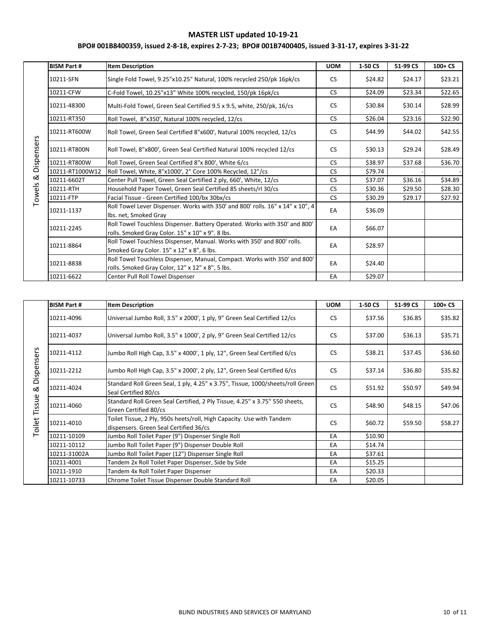|              | <b>BISM Part #</b> | <b>Item Description</b>                                                                                                        | <b>UOM</b> | 1-50 CS | 51-99 CS | $100 + CS$ |
|--------------|--------------------|--------------------------------------------------------------------------------------------------------------------------------|------------|---------|----------|------------|
|              | 10211-SFN          | Single Fold Towel, 9.25"x10.25" Natural, 100% recycled 250/pk 16pk/cs                                                          | <b>CS</b>  | \$24.82 | \$24.17  | \$23.21    |
|              | 10211-CFW          | C-Fold Towel, 10.25"x13" White 100% recycled, 150/pk 16pk/cs                                                                   | <b>CS</b>  | \$24.09 | \$23.34  | \$22.65    |
|              | 10211-48300        | Multi-Fold Towel, Green Seal Certified 9.5 x 9.5, white, 250/pk, 16/cs                                                         | <b>CS</b>  | \$30.84 | \$30.14  | \$28.99    |
|              | 10211-RT350        | Roll Towel, 8"x350', Natural 100% recycled, 12/cs                                                                              | <b>CS</b>  | \$26.04 | \$23.16  | \$22.90    |
|              | 10211-RT600W       | Roll Towel, Green Seal Certified 8"x600', Natural 100% recycled, 12/cs                                                         | <b>CS</b>  | \$44.99 | \$44.02  | \$42.55    |
| & Dispensers | 10211-RT800N       | Roll Towel, 8"x800', Green Seal Certified Natural 100% recycled 12/cs                                                          | <b>CS</b>  | \$30.13 | \$29.24  | \$28.49    |
|              | 10211-RT800W       | Roll Towel, Green Seal Certified 8"x 800', White 6/cs                                                                          | <b>CS</b>  | \$38.97 | \$37.68  | \$36.70    |
|              | 10211-RT1000W12    | Roll Towel, White, 8"x1000', 2" Core 100% Recycled, 12"/cs                                                                     | <b>CS</b>  | \$79.74 |          |            |
|              | 10211-6602T        | Center Pull Towel, Green Seal Certified 2 ply, 660', White, 12/cs                                                              | <b>CS</b>  | \$37.07 | \$36.16  | \$34.89    |
| Towels       | 10211-RTH          | Household Paper Towel, Green Seal Certified 85 sheets/rl 30/cs                                                                 | <b>CS</b>  | \$30.36 | \$29.50  | \$28.30    |
|              | 10211-FTP          | Facial Tissue - Green Certified 100/bx 30bx/cs                                                                                 | <b>CS</b>  | \$30.29 | \$29.17  | \$27.92    |
|              | 10211-1137         | Roll Towel Lever Dispenser. Works with 350' and 800' rolls. 16" x 14" x 10", 4<br>Ibs. net, Smoked Grav                        | EA         | \$36.09 |          |            |
|              | 10211-2245         | Roll Towel Touchless Dispenser. Battery Operated. Works with 350' and 800'<br>rolls. Smoked Gray Color. 15" x 10" x 9". 8 lbs. | EA         | \$66.07 |          |            |
|              | 10211-8864         | Roll Towel Touchless Dispenser, Manual. Works with 350' and 800' rolls.<br>Smoked Gray Color. 15" x 12" x 8", 6 lbs.           | EA         | \$28.97 |          |            |
|              | 10211-8838         | Roll Towel Touchless Dispenser, Manual, Compact. Works with 350' and 800'<br>rolls. Smoked Gray Color, 12" x 12" x 8", 5 lbs.  | EA         | \$24.40 |          |            |
|              | 10211-6622         | Center Pull Roll Towel Dispenser                                                                                               | EA         | \$29.07 |          |            |

|                                                  | <b>BISM Part #</b> | <b>Item Description</b>                                                                                         | <b>UOM</b> | 1-50 CS | 51-99 CS | $100 + CS$ |
|--------------------------------------------------|--------------------|-----------------------------------------------------------------------------------------------------------------|------------|---------|----------|------------|
|                                                  | 10211-4096         | Universal Jumbo Roll, 3.5" x 2000', 1 ply, 9" Green Seal Certified 12/cs                                        | <b>CS</b>  | \$37.56 | \$36.85  | \$35.82    |
|                                                  | 10211-4037         | Universal Jumbo Roll, 3.5" x 1000', 2 ply, 9" Green Seal Certified 12/cs                                        | <b>CS</b>  | \$37.00 | \$36.13  | \$35.71    |
|                                                  | 10211-4112         | Jumbo Roll High Cap, 3.5" x 4000', 1 ply, 12", Green Seal Certified 6/cs                                        | <b>CS</b>  | \$38.21 | \$37.45  | \$36.60    |
| Dispensers<br>ಹ<br>Tissue<br>Toilet <sup>®</sup> | 10211-2212         | Jumbo Roll High Cap, 3.5" x 2000', 2 ply, 12", Green Seal Certified 6/cs                                        | <b>CS</b>  | \$37.14 | \$36.80  | \$35.82    |
|                                                  | 10211-4024         | Standard Roll Green Seal, 1 ply, 4.25" x 3.75", Tissue, 1000/sheets/roll Green<br>Seal Certified 80/cs          | <b>CS</b>  | \$51.92 | \$50.97  | \$49.94    |
|                                                  | 10211-4060         | Standard Roll Green Seal Certified, 2 Ply Tissue, 4.25" x 3.75" 550 sheets,<br>Green Certified 80/cs            | <b>CS</b>  | \$48.90 | \$48.15  | \$47.06    |
|                                                  | 10211-4010         | Toilet Tissue, 2 Ply, 950s heets/roll, High Capacity. Use with Tandem<br>dispensers. Green Seal Certified 36/cs | <b>CS</b>  | \$60.72 | \$59.50  | \$58.27    |
|                                                  | 10211-10109        | Jumbo Roll Toilet Paper (9") Dispenser Single Roll                                                              | EA         | \$10.90 |          |            |
|                                                  | 10211-10112        | Jumbo Roll Toilet Paper (9") Dispenser Double Roll                                                              | EA         | \$14.74 |          |            |
|                                                  | 10211-31002A       | Jumbo Roll Toilet Paper (12") Dispenser Single Roll                                                             | EA         | \$37.61 |          |            |
|                                                  | 10211-4001         | Tandem 2x Roll Toilet Paper Dispenser, Side by Side                                                             | EA         | \$15.25 |          |            |
|                                                  | 10211-1910         | Tandem 4x Roll Toilet Paper Dispenser                                                                           | EA         | \$20.33 |          |            |
|                                                  | 10211-10733        | Chrome Toilet Tissue Dispenser Double Standard Roll                                                             | EA         | \$20.05 |          |            |